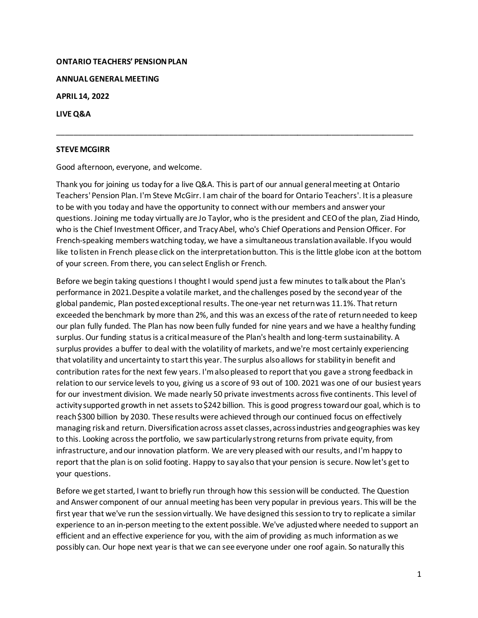#### **ONTARIO TEACHERS' PENSION PLAN**

**ANNUAL GENERAL MEETING**

**APRIL 14, 2022**

**LIVE Q&A**

#### **STEVE MCGIRR**

Good afternoon, everyone, and welcome.

Thank you for joining us today for a live Q&A. This is part of our annual general meeting at Ontario Teachers' Pension Plan. I'm Steve McGirr. I am chair of the board for Ontario Teachers'. It is a pleasure to be with you today and have the opportunity to connect with our members and answer your questions. Joining me today virtually are Jo Taylor, who is the president and CEO of the plan, Ziad Hindo, who is the Chief Investment Officer, and Tracy Abel, who's Chief Operations and Pension Officer. For French-speaking members watching today, we have a simultaneous translation available. If you would like to listen in French please click on the interpretation button. This is the little globe icon at the bottom of your screen. From there, you can select English or French.

\_\_\_\_\_\_\_\_\_\_\_\_\_\_\_\_\_\_\_\_\_\_\_\_\_\_\_\_\_\_\_\_\_\_\_\_\_\_\_\_\_\_\_\_\_\_\_\_\_\_\_\_\_\_\_\_\_\_\_\_\_\_\_\_\_\_\_\_\_\_\_\_\_\_\_\_\_\_\_\_\_\_\_

Before we begin taking questions I thought I would spend just a few minutes to talk about the Plan's performance in 2021.Despite a volatile market, and the challenges posed by the second year of the global pandemic, Plan posted exceptional results. The one-year net return was 11.1%. That return exceeded the benchmark by more than 2%, and this was an excess of the rate of return needed to keep our plan fully funded. The Plan has now been fully funded for nine years and we have a healthy funding surplus. Our funding status is a critical measure of the Plan's health and long-term sustainability. A surplus provides a buffer to deal with the volatility of markets, and we're most certainly experiencing that volatility and uncertainty to start this year. The surplus also allows for stability in benefit and contribution ratesfor the next few years. I'm also pleased to report that you gave a strong feedback in relation to our service levels to you, giving us a score of 93 out of 100. 2021 was one of our busiest years for our investment division. We made nearly 50 private investments across five continents. This level of activity supported growth in net assets to \$242 billion. This is good progress toward our goal, which is to reach \$300 billion by 2030. These results were achieved through our continued focus on effectively managing riskand return. Diversificationacross asset classes,across industries andgeographies was key to this. Looking across the portfolio, we saw particularly strong returns from private equity, from infrastructure, and our innovation platform. We are very pleased with our results, and I'm happy to report that the plan is on solid footing. Happy to say also that your pension is secure. Now let's getto your questions.

Before we get started, I want to briefly run through how this session will be conducted. The Question and Answer component of our annual meeting has been very popular in previous years. This will be the first year that we've run the session virtually. We have designed this sessionto try to replicate a similar experience to an in-person meeting to the extent possible. We've adjusted where needed to support an efficient and an effective experience for you, with the aim of providing as much information as we possibly can. Our hope next year is that we can see everyone under one roof again. So naturally this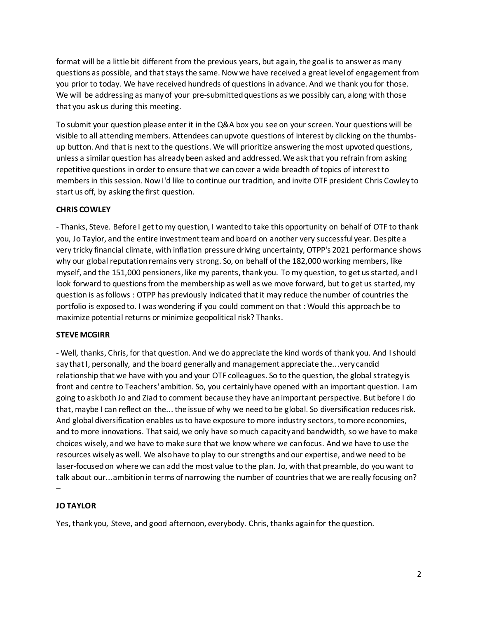format will be a little bit different from the previous years, but again, the goal is to answer as many questions as possible, and that stays the same. Now we have received a great level of engagement from you prior to today. We have received hundreds of questions in advance. And we thank you for those. We will be addressing as many of your pre-submitted questions as we possibly can, along with those that you askus during this meeting.

To submit your question please enter it in the Q&A box you see on your screen. Your questions will be visible to all attending members. Attendees can upvote questions of interest by clicking on the thumbsup button. And that is next to the questions. We will prioritize answering the most upvoted questions, unless a similar question has already been asked and addressed. We ask that you refrain from asking repetitive questions in order to ensure that we cancover a wide breadth of topics of interest to membersin this session. Now I'd like to continue our tradition, and invite OTF president Chris Cowley to start us off, by asking the first question.

# **CHRIS COWLEY**

- Thanks, Steve. Before I getto my question, I wanted to take this opportunity on behalf of OTF to thank you, Jo Taylor, and the entire investment teamand board on another very successful year. Despite a very tricky financial climate, with inflation pressure driving uncertainty, OTPP's 2021 performance shows why our global reputation remains very strong. So, on behalf of the 182,000 working members, like myself, and the 151,000 pensioners, like my parents, thank you. To my question, to get us started, and I look forward to questions from the membership as well as we move forward, but to get us started, my question is as follows : OTPP has previously indicated that it may reduce the number of countries the portfolio is exposed to. I was wondering if you could comment on that : Would this approach be to maximize potential returns or minimize geopolitical risk? Thanks.

### **STEVE MCGIRR**

- Well, thanks, Chris, for that question. And we do appreciate the kind words of thank you. And I should say that I, personally, and the board generallyand management appreciate the...very candid relationship that we have with you and your OTF colleagues. So to the question, the global strategy is front and centre to Teachers' ambition. So, you certainly have opened with an important question. I am going to ask both Jo and Ziad to comment because they have an important perspective. But before I do that, maybe I can reflect on the... the issue of why we need to be global. So diversification reduces risk. And global diversification enables us to have exposure to more industry sectors, to more economies, and to more innovations. That said, we only have so much capacityand bandwidth, so we have to make choices wisely, and we have to make sure that we know where we can focus. And we have to use the resources wisely as well. We also have to play to our strengths and our expertise, andwe need to be laser-focusedon where we can add the most value to the plan. Jo, with that preamble, do you want to talk about our...ambition in terms of narrowing the number of countries that we are really focusing on? –

### **JO TAYLOR**

Yes, thank you, Steve, and good afternoon, everybody. Chris, thanks againfor the question.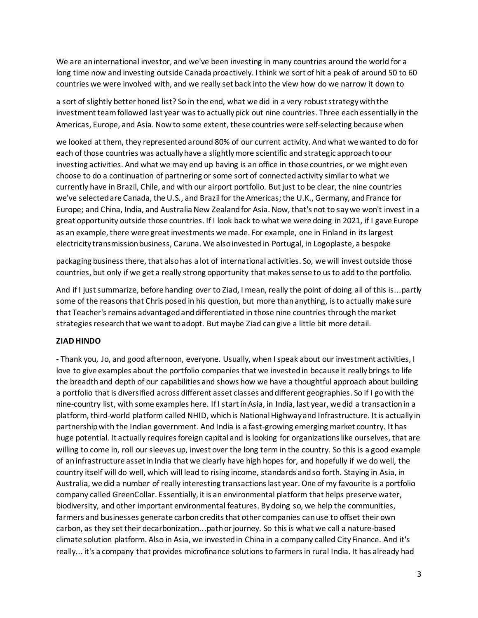We are an international investor, and we've been investing in many countries around the world for a long time now and investing outside Canada proactively. I think we sort of hit a peak of around 50 to 60 countries we were involved with, and we really set back into the view how do we narrow it down to

a sort of slightly better honed list? So in the end, what we did in a very robust strategywith the investment teamfollowed last year was to actually pick out nine countries. Three each essentially in the Americas, Europe, and Asia. Now to some extent, these countries were self-selecting because when

we looked at them, they represented around 80% of our current activity. And what we wanted to do for each of those countries was actuallyhave a slightly more scientific and strategic approachto our investing activities. And what we may end up having is an office in those countries, or we might even choose to do a continuation of partnering or some sort of connectedactivity similar to what we currently have in Brazil, Chile, and with our airport portfolio. But just to be clear, the nine countries we've selected are Canada, the U.S., and Brazil for the Americas; the U.K., Germany, and France for Europe; and China, India, and Australia New Zealand for Asia. Now, that's not to say we won't invest in a great opportunity outside those countries. If I look back to what we were doing in 2021, if I gave Europe as an example, there were great investments we made. For example, one in Finland in its largest electricity transmission business, Caruna. We also invested in Portugal, in Logoplaste, a bespoke

packaging business there, that also has a lot of international activities. So, we will invest outside those countries, but only if we get a really strong opportunity that makes sense to us to add to the portfolio.

And if I just summarize, before handing over to Ziad, I mean, really the point of doing all of this is...partly some of the reasons that Chris posed in his question, but more than anything, is to actually make sure that Teacher's remains advantaged and differentiated in those nine countries through the market strategies research that we want to adopt. But maybe Ziad can give a little bit more detail.

# **ZIAD HINDO**

- Thank you, Jo, and good afternoon, everyone. Usually, when I speak about our investment activities, I love to give examples about the portfolio companies that we invested in because it really brings to life the breadthand depth of our capabilities and shows how we have a thoughtful approach about building a portfolio that is diversified across different asset classes and different geographies. So if I gowith the nine-country list, with some examples here. If I start in Asia, in India, last year, we did a transactionin a platform, third-world platform called NHID, which is National Highwayand Infrastructure. It is actually in partnershipwith the Indian government. And India is a fast-growing emerging market country. It has huge potential. It actually requires foreign capital and is looking for organizationslike ourselves, that are willing to come in, roll our sleeves up, invest over the long term in the country. So this is a good example of an infrastructure assetin India that we clearly have high hopes for, and hopefully if we do well, the country itself will do well, which will lead to rising income, standards and so forth. Staying in Asia, in Australia, we did a number of really interesting transactions last year. One of my favourite is a portfolio company called GreenCollar. Essentially, it is an environmental platform that helps preserve water, biodiversity, and other important environmental features. By doing so, we help the communities, farmers and businesses generate carbon credits that other companies can use to offset their own carbon, as they set their decarbonization...path or journey. So this is what we call a nature-based climate solution platform. Also in Asia, we invested in China in a company called City Finance. And it's really... it's a company that provides microfinance solutions to farmers in rural India. It has already had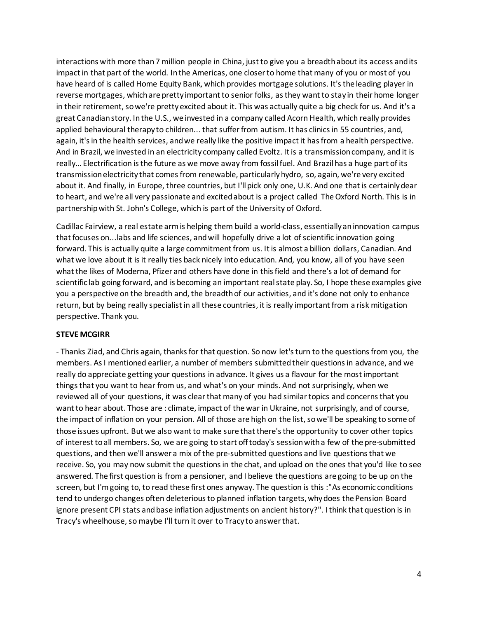interactions with more than 7 million people in China, just to give you a breadth about its access and its impactin that part of the world. In the Americas, one closer to home that many of you or most of you have heard of is called Home Equity Bank, which provides mortgage solutions. It's the leading player in reverse mortgages, which are pretty important to senior folks, as they want to stay in their home longer in their retirement, so we're pretty excited about it. This was actually quite a big check for us. And it's a great Canadian story. In the U.S., we invested in a company called Acorn Health, which really provides applied behavioural therapy to children... that suffer from autism. It has clinicsin 55 countries, and, again, it's in the health services, and we really like the positive impact it has from a health perspective. And in Brazil, we invested in an electricity company called Evoltz. It is a transmission company, and it is really... Electrification is the future as we move away from fossil fuel. And Brazil has a huge part of its transmission electricity that comes from renewable, particularly hydro, so, again, we're very excited about it. And finally, in Europe, three countries, but I'll pick only one, U.K. And one that is certainlydear to heart, and we're all very passionate and excited about is a project called The Oxford North. This is in partnership with St. John's College, which is part of the University of Oxford.

Cadillac Fairview, a real estate armis helping them build a world-class, essentially an innovation campus that focuses on...labs and life sciences, and will hopefully drive a lot of scientific innovation going forward. This is actually quite a large commitment from us. It is almost a billion dollars, Canadian. And what we love about it is it really ties back nicely into education. And, you know, all of you have seen what the likes of Moderna, Pfizer and others have done in this field and there's a lot of demand for scientific lab going forward, and is becoming an important real state play. So, I hope these examples give you a perspective on the breadth and, the breadth of our activities, and it's done not only to enhance return, but by being really specialist in all these countries, it is really important from a risk mitigation perspective. Thank you.

# **STEVE MCGIRR**

- Thanks Ziad, and Chris again, thanks for that question. So now let's turn to the questionsfrom you, the members. As I mentioned earlier, a number of members submittedtheir questions in advance, and we really do appreciate getting your questions in advance. It gives us a flavour for the most important thingsthat you wantto hear from us, and what's on your minds. And not surprisingly, when we reviewed all of your questions, it was clear that many of you had similar topics and concerns that you want to hear about. Those are : climate, impact of the war in Ukraine, not surprisingly, and of course, the impact of inflation on your pension. All of those are high on the list, so we'll be speaking to some of those issues upfront. But we also want to make sure that there's the opportunity to cover other topics of interest to all members. So, we are going to start off today's session with a few of the pre-submitted questions, and then we'll answer a mix of the pre-submitted questions and live questionsthat we receive. So, you may now submit the questions in the chat, and upload on the ones that you'd like to see answered. The first question is from a pensioner, and I believe the questions are going to be up on the screen, but I'm going to, to read these first ones anyway. The question is this :"As economic conditions tend to undergo changes often deleterious to planned inflation targets, why does the Pension Board ignore present CPI stats and base inflation adjustments on ancient history?". I think that question is in Tracy's wheelhouse, so maybe I'll turn it over to Tracy to answer that.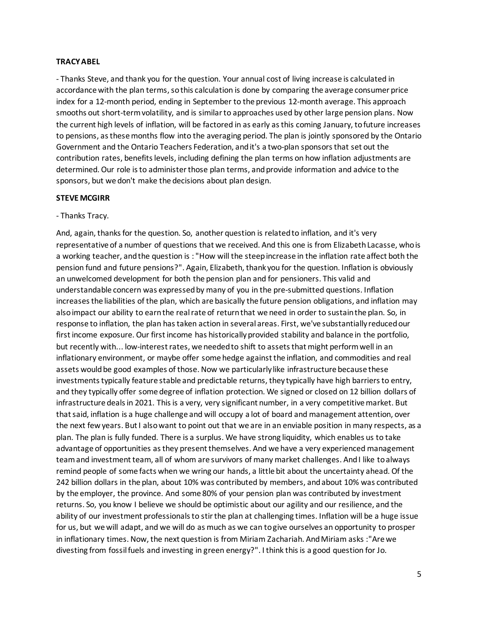#### **TRACY ABEL**

- Thanks Steve, and thank you for the question. Your annual cost of living increase is calculated in accordance with the plan terms, so this calculation is done by comparing the average consumer price index for a 12-month period, ending in September to the previous 12-month average. This approach smooths out short-term volatility, and is similarto approaches used by other large pension plans. Now the current high levels of inflation, will be factored in as early asthis coming January, to future increases to pensions, as these months flow into the averaging period. The plan is jointly sponsored by the Ontario Government and the Ontario Teachers Federation, and it's a two-plan sponsorsthat set out the contribution rates, benefits levels, including defining the plan terms on how inflation adjustments are determined. Our role is to administerthose plan terms, and provide information and advice to the sponsors, but we don't make the decisions about plan design.

#### **STEVE MCGIRR**

#### - Thanks Tracy.

And, again, thanksfor the question. So, another question is relatedto inflation, and it's very representative of a number of questions that we received. And this one is from Elizabeth Lacasse, who is a working teacher, and the question is : "How will the steep increase in the inflation rate affect both the pension fund and future pensions?". Again, Elizabeth, thank you for the question. Inflation is obviously an unwelcomed development for both the pension plan and for pensioners. This valid and understandable concern was expressedby many of you in the pre-submitted questions. Inflation increasesthe liabilities of the plan, which are basically the future pension obligations, and inflation may also impact our ability to earn the real rate of return that we need in order to sustain the plan. So, in response to inflation, the plan has taken action in several areas. First, we've substantially reducedour first income exposure. Our first income has historically provided stability and balance in the portfolio, but recently with... low-interest rates, we needed to shift to assets that might perform well in an inflationary environment, or maybe offer some hedge against the inflation, and commodities and real assets would be good examples of those. Now we particularly like infrastructure because these investments typically feature stable and predictable returns, they typically have high barriers to entry, and they typically offer some degree of inflation protection. We signed or closed on 12 billion dollars of infrastructure deals in 2021. This is a very, very significant number, in a very competitive market. But that said, inflation is a huge challenge and will occupy a lot of board and management attention, over the next few years. But I also want to point out that we are in an enviable position in many respects, as a plan. The plan is fully funded. There is a surplus. We have strong liquidity, which enables us to take advantage of opportunities asthey present themselves. And we have a very experienced management teamand investment team, all of whom are survivors of many market challenges. And I like to always remind people of some facts when we wring our hands, a little bit about the uncertainty ahead. Of the 242 billion dollars in the plan, about 10% was contributed by members, and about 10% was contributed by the employer, the province. And some 80% of your pension plan was contributed by investment returns. So, you know I believe we should be optimistic about our agility and our resilience, and the ability of our investment professionals to stir the plan at challenging times. Inflation will be a huge issue for us, but we will adapt, and we will do as much as we can to give ourselves an opportunity to prosper in inflationary times. Now, the next question is from Miriam Zachariah. And Miriam asks :"Are we divesting from fossil fuels and investing in green energy?". I think this is a good question for Jo.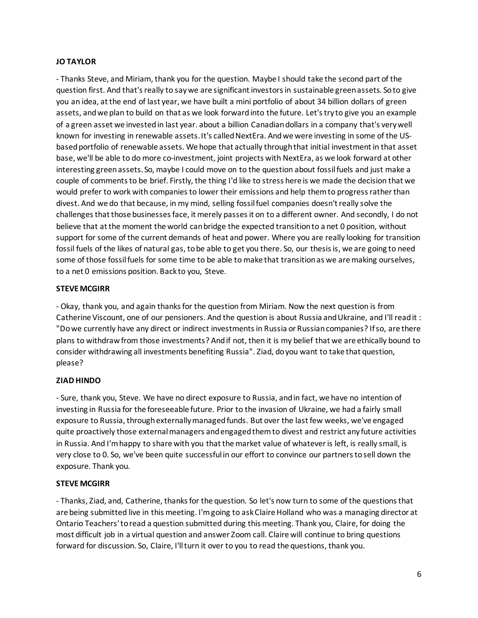# **JO TAYLOR**

- Thanks Steve, and Miriam, thank you for the question. Maybe I should take the second part of the question first. And that's really to say we are significant investorsin sustainable green assets. So to give you an idea, at the end of last year, we have built a mini portfolio of about 34 billion dollars of green assets, andwe plan to build on that as we look forward into the future. Let's try to give you an example of a green asset we invested in last year. about a billion Canadian dollars in a company that's very well known for investing in renewable assets.It's called NextEra. And we were investing in some of the USbased portfolio of renewable assets. We hope that actually through that initial investment in that asset base, we'll be able to do more co-investment, joint projects with NextEra, as we look forward at other interesting green assets.So, maybe I could move on to the question about fossil fuels and just make a couple of comments to be brief. Firstly, the thing I'd like to stress here is we made the decision that we would prefer to work with companiesto lower their emissions and help them to progress rather than divest. And we do that because, in my mind, selling fossil fuel companies doesn't really solve the challengesthat those businesses face, it merely passesit on to a different owner. And secondly, I do not believe that at the moment the world can bridge the expected transition to a net 0 position, without support for some of the current demands of heat and power. Where you are really looking for transition fossil fuels of the likes of natural gas, to be able to get you there. So, our thesis is, we are going to need some of those fossil fuels for some time to be able to make that transition as we are making ourselves, to a net 0 emissions position. Back to you, Steve.

## **STEVE MCGIRR**

- Okay, thank you, and again thanks for the question from Miriam. Now the next question is from Catherine Viscount, one of our pensioners. And the question is about Russia and Ukraine, and I'll read it : "Do we currently have any direct or indirect investments in Russia or Russian companies? If so, are there plans to withdraw from those investments? And if not, then it is my belief that we are ethically bound to consider withdrawing all investments benefiting Russia". Ziad, do you want to take that question, please?

# **ZIAD HINDO**

- Sure, thank you, Steve. We have no direct exposure to Russia, and in fact, we have no intention of investing in Russia for the foreseeable future. Prior to the invasion of Ukraine, we had a fairly small exposure to Russia, through externallymanaged funds. But over the last few weeks, we've engaged quite proactively those external managers andengaged them to divest and restrict any future activities in Russia. And I'm happy to share with you that the market value of whatever is left, is really small, is very close to 0. So, we've been quite successful in our effort to convince our partners to sell down the exposure. Thank you.

### **STEVE MCGIRR**

- Thanks, Ziad, and, Catherine, thanks for the question. So let's now turn to some of the questionsthat are being submitted live in this meeting. I'm going to ask Claire Holland who was a managing director at Ontario Teachers' to read a question submitted during this meeting. Thank you, Claire, for doing the most difficult job in a virtual question and answer Zoom call. Claire will continue to bring questions forward for discussion. So, Claire, I'll turn it over to you to read the questions, thank you.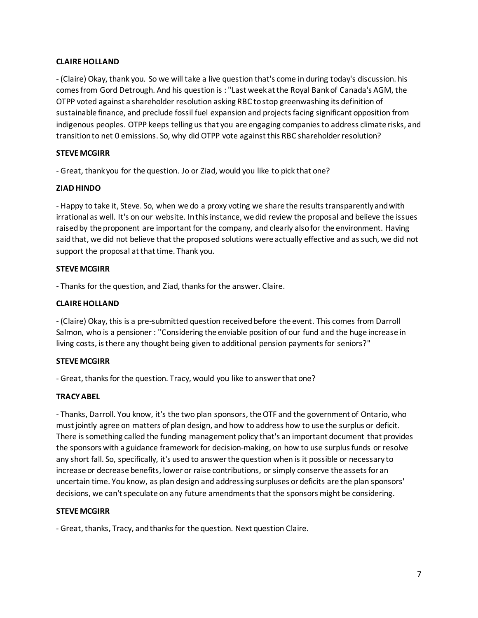## **CLAIRE HOLLAND**

- (Claire) Okay, thank you. So we will take a live question that's come in during today's discussion. his comes from Gord Detrough. And his question is : "Last week at the Royal Bank of Canada's AGM, the OTPP voted against a shareholder resolution asking RBC to stop greenwashing its definition of sustainable finance, and preclude fossil fuel expansion and projects facing significant opposition from indigenous peoples. OTPP keeps telling us that you are engaging companiesto address climate risks, and transition to net 0 emissions. So, why did OTPP vote againstthis RBC shareholder resolution?

## **STEVE MCGIRR**

- Great, thank you for the question. Jo or Ziad, would you like to pick that one?

# **ZIAD HINDO**

- Happy to take it, Steve. So, when we do a proxy voting we share the results transparently and with irrational as well. It's on our website. In this instance, we did review the proposal and believe the issues raised by the proponent are important for the company, and clearly also for the environment. Having said that, we did not believe that the proposed solutions were actually effective and as such, we did not support the proposal at that time. Thank you.

## **STEVE MCGIRR**

- Thanks for the question, and Ziad, thanks for the answer. Claire.

## **CLAIRE HOLLAND**

- (Claire) Okay, this is a pre-submitted question receivedbefore the event. This comes from Darroll Salmon, who is a pensioner : "Considering the enviable position of our fund and the huge increase in living costs, is there any thought being given to additional pension payments for seniors?"

### **STEVE MCGIRR**

- Great, thanks for the question. Tracy, would you like to answer that one?

# **TRACY ABEL**

- Thanks, Darroll. You know, it's the two plan sponsors, the OTF and the government of Ontario, who must jointly agree on matters of plan design, and how to address how to use the surplus or deficit. There is something called the funding management policy that's an important document that provides the sponsors with a guidance framework for decision-making, on how to use surplus funds or resolve any short fall. So, specifically, it's used to answer the question when is it possible or necessary to increase or decrease benefits, lower or raise contributions, or simply conserve the assets for an uncertain time. You know, as plan design and addressing surpluses or deficits are the plan sponsors' decisions, we can't speculate on any future amendments that the sponsors might be considering.

# **STEVE MCGIRR**

- Great, thanks, Tracy, and thanks for the question. Next question Claire.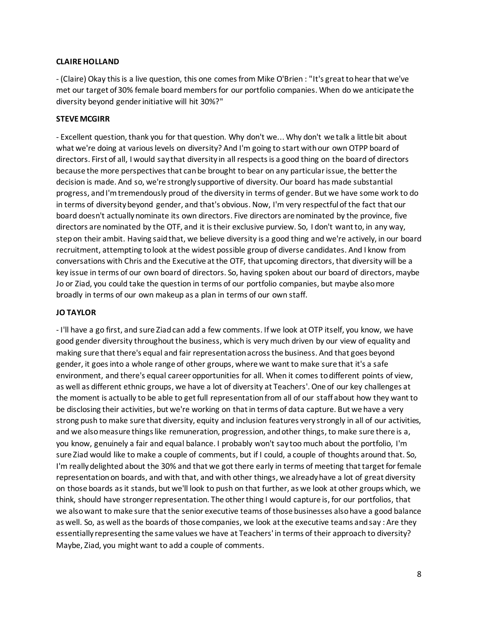### **CLAIRE HOLLAND**

- (Claire) Okay this is a live question, this one comesfrom Mike O'Brien : "It's great to hear that we've met our target of 30% female board members for our portfolio companies. When do we anticipate the diversity beyond gender initiative will hit 30%?"

## **STEVE MCGIRR**

- Excellent question, thank you for that question. Why don't we... Why don't we talk a little bit about what we're doing at various levels on diversity? And I'm going to start with our own OTPP board of directors. First of all, I would say that diversity in all respectsis a good thing on the board of directors because the more perspectives that can be brought to bear on any particular issue, the better the decision is made. And so, we're strongly supportive of diversity. Our board has made substantial progress, and I'm tremendously proud of the diversity in terms of gender. But we have some work to do in terms of diversity beyond gender, and that's obvious. Now, I'm very respectfulof the fact that our board doesn't actually nominate its own directors. Five directors are nominated by the province, five directors are nominated by the OTF, and it is their exclusive purview. So, I don't want to, in any way, step on their ambit. Having said that, we believe diversity is a good thing and we're actively, in our board recruitment, attempting to look at the widest possible group of diverse candidates. And I know from conversations with Chris and the Executive at the OTF, that upcoming directors, that diversity will be a key issue in terms of our own board of directors. So, having spoken about our board of directors, maybe Jo or Ziad, you could take the question in terms of our portfolio companies, but maybe also more broadly in terms of our own makeup as a plan in terms of our own staff.

# **JO TAYLOR**

- I'll have a go first, and sure Ziad can add a few comments. If we look at OTP itself, you know, we have good gender diversity throughout the business, which is very much driven by our view of equality and making sure that there's equal and fair representationacross the business. And that goes beyond gender, it goes into a whole range of other groups, where we wantto make sure that it's a safe environment, and there's equal career opportunities for all. When it comes to different points of view, as well as different ethnic groups, we have a lot of diversity at Teachers'. One of our key challenges at the moment is actually to be able to get full representationfrom all of our staff about how they want to be disclosing their activities, but we're working on thatin terms of data capture. But we have a very strong push to make sure that diversity, equity and inclusion features very strongly in all of our activities, and we also measure things like remuneration, progression, and other things, to make sure there is a, you know, genuinely a fair and equal balance. I probably won't say too much about the portfolio, I'm sure Ziad would like to make a couple of comments, but if I could, a couple of thoughts around that. So, I'm really delighted about the 30% and that we got there early in terms of meeting that target for female representation on boards, and with that, and with other things, we already have a lot of great diversity on those boards as it stands, but we'll look to push on that further, as we look at other groups which, we think, should have stronger representation. The other thing I would capture is, for our portfolios, that we alsowant to make sure that the senior executive teams of those businesses also have a good balance as well. So, as well as the boards of those companies, we look at the executive teams andsay : Are they essentially representing the same values we have at Teachers' in terms of their approach to diversity? Maybe, Ziad, you might want to add a couple of comments.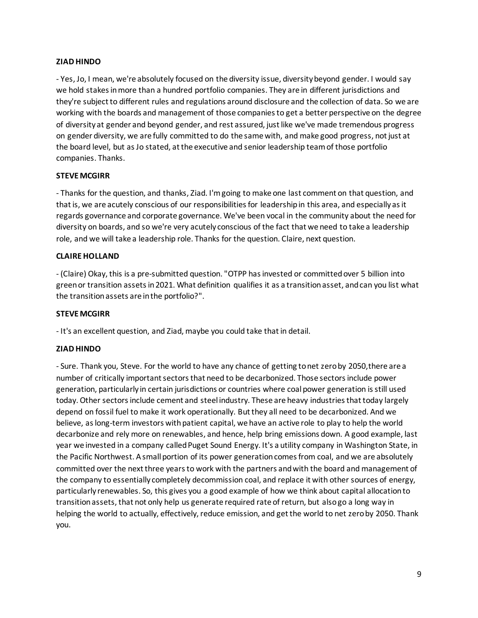# **ZIAD HINDO**

- Yes, Jo, I mean, we're absolutely focused on the diversity issue, diversity beyond gender. I would say we hold stakes in more than a hundred portfolio companies. They are in different jurisdictions and they're subject to different rules and regulations around disclosure and the collection of data. So we are working with the boards and management of those companies to get a better perspective on the degree of diversityat gender and beyond gender, and rest assured, just like we've made tremendous progress on gender diversity, we are fully committed to do the same with, and make good progress, notjust at the board level, but as Jo stated, at the executive and senior leadership team of those portfolio companies. Thanks.

## **STEVE MCGIRR**

- Thanks for the question, and thanks, Ziad. I'm going to make one last comment on that question, and that is, we are acutely conscious of our responsibilities for leadership in this area, and especially as it regards governance and corporate governance. We've been vocal in the community about the need for diversity on boards, and so we're very acutely conscious of the fact that we need to take a leadership role, and we will take a leadership role. Thanks for the question. Claire, next question.

## **CLAIRE HOLLAND**

- (Claire) Okay, this is a pre-submitted question. "OTPP has invested or committedover 5 billion into green or transition assets in 2021. What definition qualifies it as a transition asset, and can you list what the transition assets are in the portfolio?".

### **STEVE MCGIRR**

- It's an excellent question, and Ziad, maybe you could take that in detail.

# **ZIAD HINDO**

- Sure. Thank you, Steve. For the world to have any chance of getting to net zero by 2050,there are a number of critically important sectorsthat need to be decarbonized. Those sectors include power generation, particularly in certain jurisdictions or countries where coal power generation is still used today. Other sectors include cement and steel industry. These are heavy industries that today largely depend on fossil fuel to make it work operationally. But they all need to be decarbonized. And we believe, as long-term investors with patient capital, we have an active role to play to help the world decarbonize and rely more on renewables, and hence, help bring emissions down. A good example, last year we invested in a company called Puget Sound Energy. It's a utility company in Washington State, in the Pacific Northwest. A small portion of its power generation comes from coal, and we are absolutely committed over the next three years to work with the partners and with the board and management of the company to essentially completely decommission coal, and replace it with other sources of energy, particularly renewables. So, this gives you a good example of how we think about capital allocationto transition assets, that not only help us generate required rate of return, but also go a long way in helping the world to actually, effectively, reduce emission, and get the world to net zero by 2050. Thank you.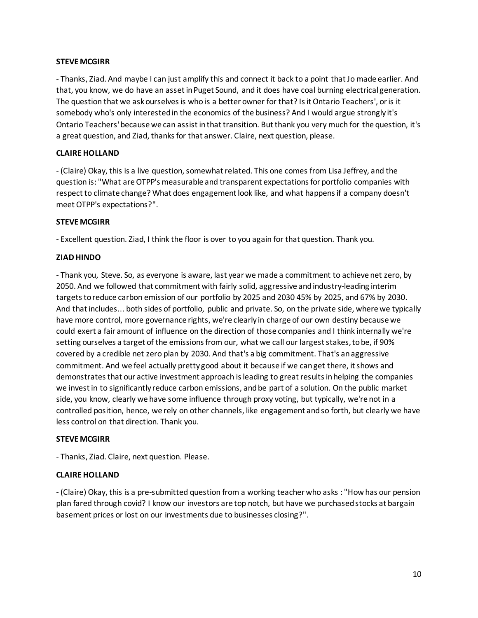### **STEVE MCGIRR**

- Thanks, Ziad. And maybe I can just amplify this and connect it back to a point that Jo made earlier. And that, you know, we do have an asset in Puget Sound, and it does have coal burning electrical generation. The question that we askourselves is who is a better owner for that? Is it Ontario Teachers', or is it somebody who's only interested in the economics of the business? And I would argue strongly it's Ontario Teachers' because we can assist in that transition. But thank you very much for the question, it's a great question, and Ziad, thanks for that answer. Claire, next question, please.

# **CLAIRE HOLLAND**

- (Claire) Okay, this is a live question, somewhat related. This one comes from Lisa Jeffrey, and the question is: "What are OTPP's measurable and transparent expectationsfor portfolio companies with respect to climate change? What does engagement look like, and what happens if a company doesn't meet OTPP's expectations?".

### **STEVE MCGIRR**

- Excellent question. Ziad, I think the floor is over to you again for that question. Thank you.

### **ZIAD HINDO**

- Thank you, Steve. So, as everyone is aware, last year we made a commitment to achieve net zero, by 2050. And we followed that commitment with fairly solid, aggressive and industry-leading interim targets to reduce carbon emission of our portfolio by 2025 and 2030 45% by 2025, and 67% by 2030. And that includes... both sides of portfolio, public and private. So, on the private side, where we typically have more control, more governance rights, we're clearly in charge of our own destiny because we could exert a fair amount of influence on the direction of those companies and I think internally we're setting ourselves a target of the emissions from our, what we call our largest stakes, tobe, if 90% covered by a credible net zero plan by 2030. And that's a big commitment. That's an aggressive commitment. And we feel actually pretty good about it because if we canget there, it shows and demonstrates that our active investment approach is leading to great results in helping the companies we invest in to significantly reduce carbon emissions, and be part of a solution. On the public market side, you know, clearly we have some influence through proxy voting, but typically, we're not in a controlled position, hence, we rely on other channels, like engagement and so forth, but clearly we have less control on that direction. Thank you.

### **STEVE MCGIRR**

- Thanks, Ziad. Claire, next question. Please.

### **CLAIRE HOLLAND**

- (Claire) Okay, this is a pre-submitted question from a working teacher who asks : "How has our pension plan fared through covid? I know our investors are top notch, but have we purchasedstocks at bargain basement prices or lost on our investments due to businesses closing?".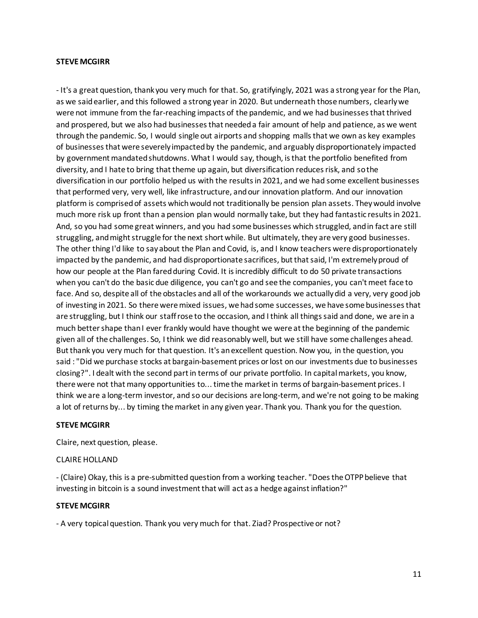#### **STEVE MCGIRR**

- It's a great question, thank you very much for that. So, gratifyingly, 2021 was a strong year for the Plan, as we said earlier, and this followed a strong year in 2020. But underneath those numbers, clearly we were not immune from the far-reaching impacts of the pandemic, and we had businesses thatthrived and prospered, but we also had businesses that needed a fair amount of help and patience, as we went through the pandemic. So, I would single out airports and shopping malls that we own as key examples of businesses that were severely impacted by the pandemic, and arguably disproportionately impacted by government mandated shutdowns. What I would say, though, isthat the portfolio benefited from diversity, and I hate to bring that theme up again, but diversification reduces risk, and so the diversification in our portfolio helped us with the results in 2021, and we had some excellent businesses that performed very, very well, like infrastructure, and our innovation platform. And our innovation platform is comprised of assets which would not traditionally be pension plan assets. They would involve much more risk up front than a pension plan would normally take, but they had fantastic results in 2021. And, so you had some great winners, and you had some businesses which struggled, and in fact are still struggling, and might struggle for the next short while. But ultimately, they are very good businesses. The other thing I'd like to sayabout the Plan and Covid, is, and I know teachers were disproportionately impacted by the pandemic, and had disproportionate sacrifices, but that said, I'm extremely proud of how our people at the Plan fared during Covid. It is incredibly difficult to do 50 private transactions when you can't do the basic due diligence, you can't go and see the companies, you can't meet face to face. And so, despite all of the obstacles and all of the workarounds we actually did a very, very good job of investing in 2021. So there were mixed issues, we had some successes, we have some businesses that are struggling, but I think our staff rose to the occasion, and I think all things said and done, we are in a much better shape than I ever frankly would have thought we were at the beginning of the pandemic given all of the challenges. So, I think we did reasonably well, but we still have some challenges ahead. But thank you very much for that question. It's an excellent question. Now you, in the question, you said : "Did we purchase stocks at bargain-basement prices orlost on our investments due to businesses closing?". I dealt with the second partin terms of our private portfolio. In capital markets, you know, there were not that many opportunities to... time the market in terms of bargain-basement prices. I think we are a long-term investor, and so our decisions are long-term, and we're not going to be making a lot of returns by... by timing the market in any given year. Thank you. Thank you for the question.

#### **STEVE MCGIRR**

Claire, next question, please.

### CLAIRE HOLLAND

- (Claire) Okay, this is a pre-submitted question from a working teacher. "Does the OTPP believe that investing in bitcoin is a sound investment that will act as a hedge against inflation?"

#### **STEVE MCGIRR**

- A very topical question. Thank you very much for that. Ziad? Prospective or not?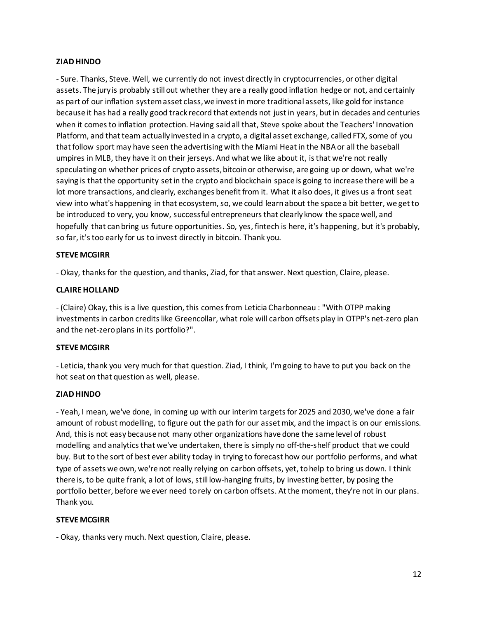## **ZIAD HINDO**

- Sure. Thanks, Steve. Well, we currently do not invest directly in cryptocurrencies, or other digital assets. The jury is probably still out whether they are a really good inflation hedge or not, and certainly as part of our inflation system asset class, we invest in more traditional assets, like gold for instance because it has had a really good track record that extends not just in years, but in decades and centuries when it comes to inflation protection. Having said all that, Steve spoke about the Teachers' Innovation Platform, and that team actually invested in a crypto, a digital asset exchange, called FTX, some of you that follow sport may have seen the advertising with the Miami Heat in the NBAor all the baseball umpires in MLB, they have it on their jerseys. And what we like about it, isthat we're not really speculating on whether prices of crypto assets, bitcoin or otherwise, are going up or down, what we're saying is that the opportunity set in the crypto and blockchain space is going to increase there will be a lot more transactions, and clearly, exchanges benefit from it. What it also does, it gives us a front seat view into what's happening in that ecosystem,so, we could learnabout the space a bit better, we get to be introduced to very, you know, successful entrepreneursthat clearly know the space well, and hopefully that canbring us future opportunities. So, yes, fintech is here, it's happening, but it's probably, so far, it'stoo early for us to invest directly in bitcoin. Thank you.

### **STEVE MCGIRR**

- Okay, thanks for the question, and thanks, Ziad, for that answer. Next question, Claire, please.

#### **CLAIRE HOLLAND**

- (Claire) Okay, this is a live question, this comesfrom Leticia Charbonneau : "With OTPP making investmentsin carbon credits like Greencollar, what role will carbon offsets play in OTPP's net-zero plan and the net-zero plans in its portfolio?".

#### **STEVE MCGIRR**

- Leticia, thank you very much for that question. Ziad, I think, I'm going to have to put you back on the hot seat on that question as well, please.

### **ZIAD HINDO**

- Yeah, I mean, we've done, in coming up with our interim targets for 2025 and 2030, we've done a fair amount of robust modelling, to figure out the path for our asset mix, and the impact is on our emissions. And, this is not easy because not many other organizations have done the same level of robust modelling and analyticsthat we've undertaken, there is simply no off-the-shelf product that we could buy. But to the sort of best ever ability today in trying to forecast how our portfolio performs, and what type of assets we own, we're not really relying on carbon offsets, yet, to help to bring us down. I think there is, to be quite frank, a lot of lows, still low-hanging fruits, by investing better, by posing the portfolio better, before we ever need to rely on carbon offsets. At the moment, they're not in our plans. Thank you.

#### **STEVE MCGIRR**

- Okay, thanks very much. Next question, Claire, please.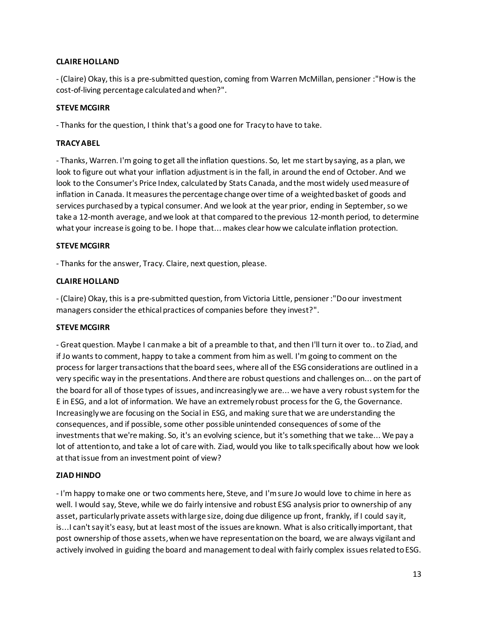# **CLAIRE HOLLAND**

- (Claire) Okay, this is a pre-submitted question, coming from Warren McMillan, pensioner :"How is the cost-of-living percentage calculated and when?".

### **STEVE MCGIRR**

- Thanks for the question, I think that's a good one for Tracy to have to take.

## **TRACY ABEL**

- Thanks, Warren. I'm going to get all the inflation questions. So, let me start by saying, as a plan, we look to figure out what your inflation adjustment is in the fall, in around the end of October. And we look to the Consumer's Price Index, calculated by Stats Canada, andthe most widely used measure of inflation in Canada. It measures the percentage change over time of a weightedbasket of goods and services purchased by a typical consumer. And we look at the year prior, ending in September, so we take a 12-month average, and we look at that compared to the previous 12-month period, to determine what your increase is going to be. I hope that... makes clear how we calculate inflation protection.

## **STEVE MCGIRR**

- Thanks for the answer, Tracy. Claire, next question, please.

## **CLAIRE HOLLAND**

- (Claire) Okay, this is a pre-submitted question, from Victoria Little, pensioner :"Do our investment managers consider the ethical practices of companies before they invest?".

### **STEVE MCGIRR**

- Great question. Maybe I can make a bit of a preamble to that, and then I'll turn it over to.. to Ziad, and if Jo wants to comment, happy to take a comment from him as well. I'm going to comment on the process for larger transactions that the board sees, where all of the ESG considerations are outlined in a very specific way in the presentations. And there are robust questions and challenges on... on the part of the board for all of those types of issues, and increasingly we are... we have a very robust systemfor the E in ESG, and a lot of information. We have an extremely robust process for the G, the Governance. Increasingly we are focusing on the Social in ESG, and making sure that we are understanding the consequences, and if possible, some other possible unintended consequences of some of the investments that we're making. So, it's an evolving science, but it's something that we take... We pay a lot of attention to, and take a lot of care with. Ziad, would you like to talk specifically about how we look at that issue from an investment point of view?

# **ZIAD HINDO**

- I'm happy to make one or two comments here, Steve, and I'm sure Jo would love to chime in here as well. I would say, Steve, while we do fairly intensive and robust ESG analysis prior to ownership of any asset, particularly private assets with large size, doing due diligence up front, frankly, if I could say it, is...I can't say it's easy, but at least most of the issues are known. What is also critically important, that post ownership of those assets, when we have representation on the board, we are always vigilant and actively involved in guiding the board and management to deal with fairly complex issues related to ESG.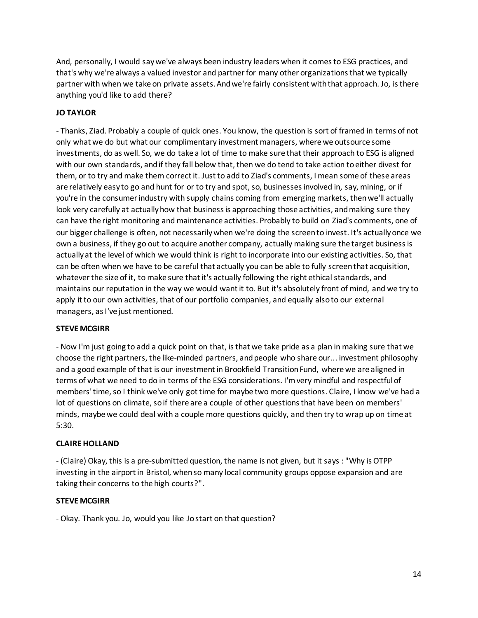And, personally, I would saywe've always been industry leaders when it comes to ESG practices, and that's why we're always a valued investor and partner for many other organizations that we typically partner with when we take on private assets.And we're fairly consistent with that approach. Jo, is there anything you'd like to add there?

# **JO TAYLOR**

- Thanks, Ziad. Probably a couple of quick ones. You know, the question is sort of framed in terms of not only what we do but what our complimentary investment managers, where we outsource some investments, do as well. So, we do take a lot of time to make sure that their approach to ESG is aligned with our own standards, and if they fall below that, then we do tend to take action to either divest for them, or to try and make them correct it. Just to add to Ziad's comments, I mean some of these areas are relatively easy to go and hunt for or to try and spot, so, businesses involved in, say, mining, or if you're in the consumer industry with supply chains coming from emerging markets, thenwe'll actually look very carefully at actually how that business is approaching those activities, and making sure they can have the right monitoring and maintenance activities. Probably to build on Ziad's comments, one of our bigger challenge is often, not necessarily when we're doing the screen to invest. It's actually once we own a business, if they go out to acquire another company, actually making sure the target business is actuallyat the level of which we would think is right to incorporate into our existing activities. So, that can be often when we have to be careful that actually you can be able to fully screenthat acquisition, whatever the size of it, to make sure that it's actually following the right ethical standards, and maintains our reputation in the way we would want it to. But it's absolutely front of mind, and we try to apply it to our own activities, that of our portfolio companies, and equally also to our external managers, as I've just mentioned.

### **STEVE MCGIRR**

- Now I'm just going to add a quick point on that, is that we take pride as a plan in making sure that we choose the right partners, the like-minded partners, and people who share our... investment philosophy and a good example of that is our investment in Brookfield Transition Fund, where we are aligned in terms of what we need to do in terms of the ESG considerations. I'm very mindful and respectfulof members' time, so I think we've only got time for maybe two more questions. Claire, I know we've had a lot of questions on climate, so if there are a couple of other questions that have been on members' minds, maybe we could deal with a couple more questions quickly, and then try to wrap up on time at 5:30.

# **CLAIRE HOLLAND**

- (Claire) Okay, this is a pre-submitted question, the name is not given, but it says : "Why is OTPP investing in the airport in Bristol, when so many local community groups oppose expansion and are taking their concerns to the high courts?".

### **STEVE MCGIRR**

- Okay. Thank you. Jo, would you like Jo start on that question?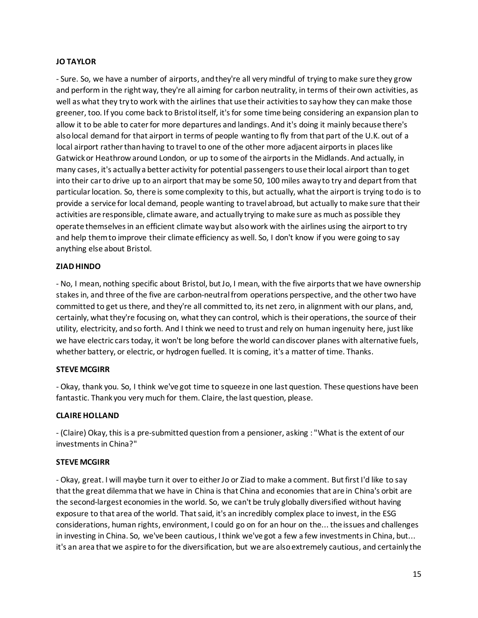## **JO TAYLOR**

- Sure. So, we have a number of airports, and they're all very mindful of trying to make sure they grow and perform in the right way, they're all aiming for carbon neutrality, in terms of their own activities, as well as what they try to work with the airlines that use their activities to sayhow they can make those greener, too. If you come back to Bristol itself, it's for some time being considering an expansion plan to allow it to be able to cater for more departures and landings. And it's doing it mainly because there's also local demand for that airport in terms of people wanting to fly from that part of the U.K. out of a local airport rather than having to travel to one of the other more adjacent airports in places like Gatwick or Heathrowaround London, or up to some of the airports in the Midlands. And actually, in many cases, it's actually a better activity for potential passengers to use their local airport than to get into their car to drive up to an airport that may be some 50, 100 miles away to try and depart from that particular location. So, there is some complexity to this, but actually, what the airport is trying todo is to provide a service for local demand, people wanting to travel abroad, but actually to make sure that their activities are responsible, climate aware, and actually trying to make sure as much as possible they operate themselvesin an efficient climate way but also work with the airlines using the airport to try and help them to improve their climate efficiency as well. So, I don't know if you were going to say anything else about Bristol.

## **ZIAD HINDO**

- No, I mean, nothing specific about Bristol, but Jo, I mean, with the five airports that we have ownership stakes in, and three of the five are carbon-neutralfrom operations perspective, and the other two have committed to get us there, and they're all committed to, its net zero, in alignment with our plans, and, certainly, what they're focusing on, what they can control, which is their operations, the source of their utility, electricity, and so forth. And I think we need to trust and rely on human ingenuity here, just like we have electric cars today, it won't be long before the world can discover planes with alternative fuels, whether battery, or electric, or hydrogen fuelled. It is coming, it's a matter of time. Thanks.

### **STEVE MCGIRR**

- Okay, thank you. So, I think we've got time to squeeze in one last question. These questions have been fantastic. Thank you very much for them. Claire, the last question, please.

### **CLAIRE HOLLAND**

- (Claire) Okay, this is a pre-submitted question from a pensioner, asking : "What is the extent of our investments in China?"

### **STEVE MCGIRR**

- Okay, great. I will maybe turn it over to either Jo or Ziad to make a comment. But first I'd like to say that the great dilemma that we have in China is that China and economies that are in China's orbit are the second-largest economies in the world. So, we can't be truly globally diversified without having exposure to that area of the world. That said, it's an incredibly complex place to invest, in the ESG considerations, human rights, environment, I could go on for an hour on the... the issues and challenges in investing in China. So, we've been cautious, I think we've got a few a few investments in China, but... it's an area that we aspire to for the diversification, but we are also extremely cautious, and certainly the